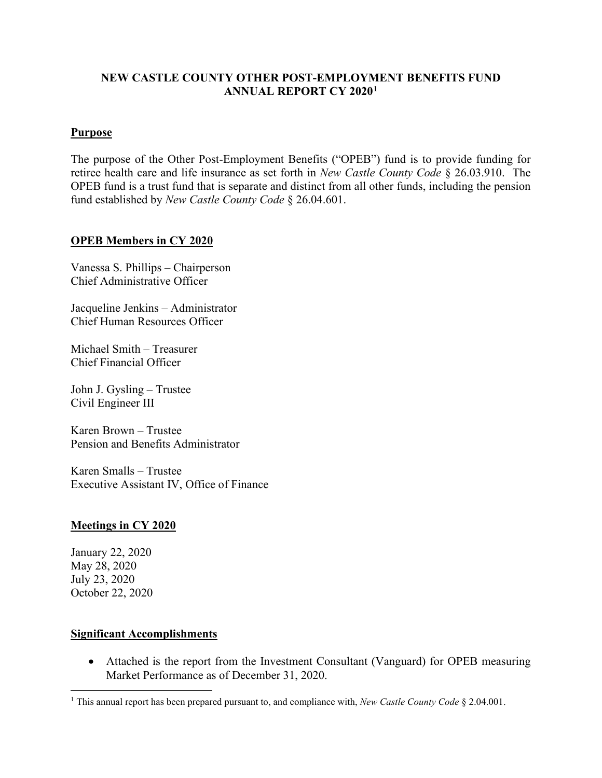## **NEW CASTLE COUNTY OTHER POST-EMPLOYMENT BENEFITS FUND ANNUAL REPORT CY 2020[1](#page-0-0)**

### **Purpose**

The purpose of the Other Post-Employment Benefits ("OPEB") fund is to provide funding for retiree health care and life insurance as set forth in *New Castle County Code* § 26.03.910. The OPEB fund is a trust fund that is separate and distinct from all other funds, including the pension fund established by *New Castle County Code* § 26.04.601.

#### **OPEB Members in CY 2020**

Vanessa S. Phillips – Chairperson Chief Administrative Officer

Jacqueline Jenkins – Administrator Chief Human Resources Officer

Michael Smith – Treasurer Chief Financial Officer

John J. Gysling – Trustee Civil Engineer III

Karen Brown – Trustee Pension and Benefits Administrator

Karen Smalls – Trustee Executive Assistant IV, Office of Finance

#### **Meetings in CY 2020**

January 22, 2020 May 28, 2020 July 23, 2020 October 22, 2020

#### **Significant Accomplishments**

• Attached is the report from the Investment Consultant (Vanguard) for OPEB measuring Market Performance as of December 31, 2020.

<span id="page-0-0"></span><sup>1</sup> This annual report has been prepared pursuant to, and compliance with, *New Castle County Code* § 2.04.001.